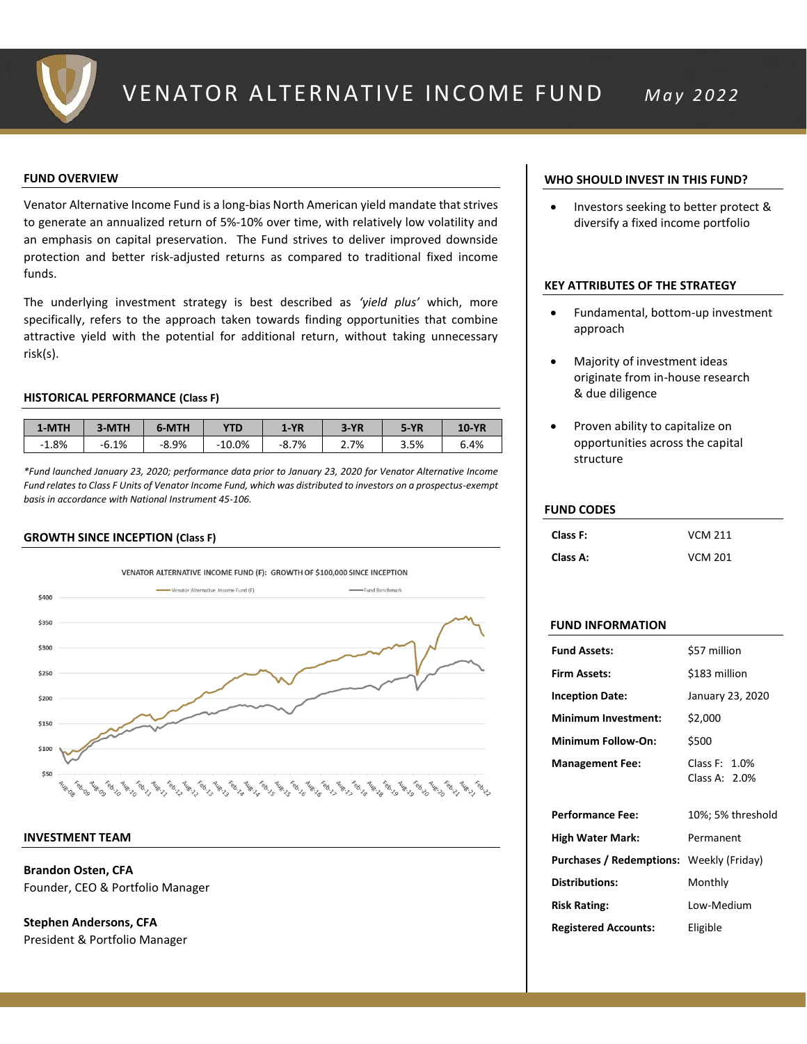

## **FUND OVERVIEW**

Venator Alternative Income Fund is a long-bias North American yield mandate that strives to generate an annualized return of 5%-10% over time, with relatively low volatility and an emphasis on capital preservation. The Fund strives to deliver improved downside protection and better risk-adjusted returns as compared to traditional fixed income funds.

The underlying investment strategy is best described as *'yield plus'* which, more specifically, refers to the approach taken towards finding opportunities that combine attractive yield with the potential for additional return, without taking unnecessary risk(s).

## **HISTORICAL PERFORMANCE (Class F)**

| 1-MTH   | 3-MTH   | 6-MTH   | <b>YTD</b> | $1-YR$  | $3-YR$ | $5-YR$ | <b>10-YR</b> |
|---------|---------|---------|------------|---------|--------|--------|--------------|
| $-1.8%$ | $-6.1%$ | $-8.9%$ | $-10.0\%$  | $-8.7%$ | 2.7%   | 3.5%   | 6.4%         |

*\*Fund launched January 23, 2020; performance data prior to January 23, 2020 for Venator Alternative Income Fund relates to Class F Units of Venator Income Fund, which was distributed to investors on a prospectus-exempt basis in accordance with National Instrument 45-106.*

## **GROWTH SINCE INCEPTION (Class F)**



## **INVESTMENT TEAM**

**Brandon Osten, CFA** Founder, CEO & Portfolio Manager

**Stephen Andersons, CFA**  President & Portfolio Manager

## **WHO SHOULD INVEST IN THIS FUND?**

• Investors seeking to better protect & diversify a fixed income portfolio

## **KEY ATTRIBUTES OF THE STRATEGY**

- Fundamental, bottom-up investment approach
- Majority of investment ideas originate from in-house research & due diligence
- Proven ability to capitalize on opportunities across the capital structure

## **FUND CODES**

| Class F: | <b>VCM 211</b> |
|----------|----------------|
| Class A: | <b>VCM 201</b> |

## **FUND INFORMATION**

| <b>Fund Assets:</b>                             | \$57 million                   |
|-------------------------------------------------|--------------------------------|
| <b>Firm Assets:</b>                             | \$183 million                  |
| <b>Inception Date:</b>                          | January 23, 2020               |
| <b>Minimum Investment:</b>                      | \$2,000                        |
| Minimum Follow-On:                              | \$500                          |
| <b>Management Fee:</b>                          | Class F: 1.0%<br>Class A: 2.0% |
| <b>Performance Fee:</b>                         | 10%; 5% threshold              |
| <b>High Water Mark:</b>                         | Permanent                      |
| <b>Purchases / Redemptions:</b> Weekly (Friday) |                                |
| <b>Distributions:</b>                           | Monthly                        |
| <b>Risk Rating:</b>                             | Low-Medium                     |
| <b>Registered Accounts:</b>                     | Eligible                       |